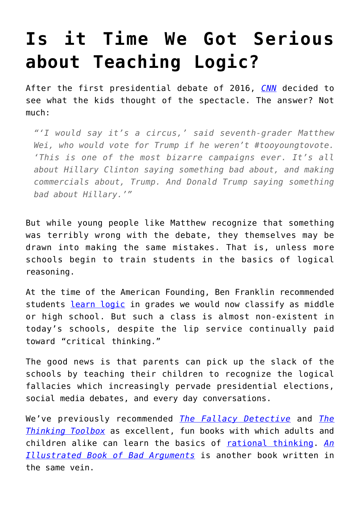## **[Is it Time We Got Serious](https://intellectualtakeout.org/2016/10/is-it-time-we-got-serious-about-teaching-logic/) [about Teaching Logic?](https://intellectualtakeout.org/2016/10/is-it-time-we-got-serious-about-teaching-logic/)**

After the first presidential debate of 2016, *[CNN](http://www.cnn.com/2016/09/27/health/presidential-debate-middle-schoolers-reaction/)* decided to see what the kids thought of the spectacle. The answer? Not much:

*"'I would say it's a circus,' said seventh-grader Matthew Wei, who would vote for Trump if he weren't #tooyoungtovote. 'This is one of the most bizarre campaigns ever. It's all about Hillary Clinton saying something bad about, and making commercials about, Trump. And Donald Trump saying something bad about Hillary.'"*

But while young people like Matthew recognize that something was terribly wrong with the debate, they themselves may be drawn into making the same mistakes. That is, unless more schools begin to train students in the basics of logical reasoning.

At the time of the American Founding, Ben Franklin recommended students [learn logic](https://www.intellectualtakeout.org/blog/school-curriculum-according-ben-franklin) in grades we would now classify as middle or high school. But such a class is almost non-existent in today's schools, despite the lip service continually paid toward "critical thinking."

The good news is that parents can pick up the slack of the schools by teaching their children to recognize the logical fallacies which increasingly pervade presidential elections, social media debates, and every day conversations.

We've previously recommended *[The Fallacy Detective](https://www.amazon.com/gp/product/097453157X/ref=as_li_qf_sp_asin_il_tl?ie=UTF8&tag=intelltakeo0d-20&camp=1789&creative=9325&linkCode=as2&creativeASIN=097453157X&linkId=4764a66accba33ecd277eae58f2c223f)* and *[The](https://www.amazon.com/gp/product/0974531510/ref=as_li_qf_sp_asin_il_tl?ie=UTF8&tag=intelltakeo0d-20&camp=1789&creative=9325&linkCode=as2&creativeASIN=0974531510&linkId=59a323796ec420093b310f38d04e08a9) [Thinking Toolbox](https://www.amazon.com/gp/product/0974531510/ref=as_li_qf_sp_asin_il_tl?ie=UTF8&tag=intelltakeo0d-20&camp=1789&creative=9325&linkCode=as2&creativeASIN=0974531510&linkId=59a323796ec420093b310f38d04e08a9)* as excellent, fun books with which adults and children alike can learn the basics of [rational thinking.](https://www.intellectualtakeout.org/blog/how-emotionalism-slowly-replacing-rationalism) *[An](https://www.amazon.com/gp/product/1615192255/ref=as_li_qf_sp_asin_il_tl?ie=UTF8&tag=intelltakeo0d-20&camp=1789&creative=9325&linkCode=as2&creativeASIN=1615192255&linkId=8a99b583a936aa6a1fd802b42507c9a4) [Illustrated Book of Bad Arguments](https://www.amazon.com/gp/product/1615192255/ref=as_li_qf_sp_asin_il_tl?ie=UTF8&tag=intelltakeo0d-20&camp=1789&creative=9325&linkCode=as2&creativeASIN=1615192255&linkId=8a99b583a936aa6a1fd802b42507c9a4)* is another book written in the same vein.